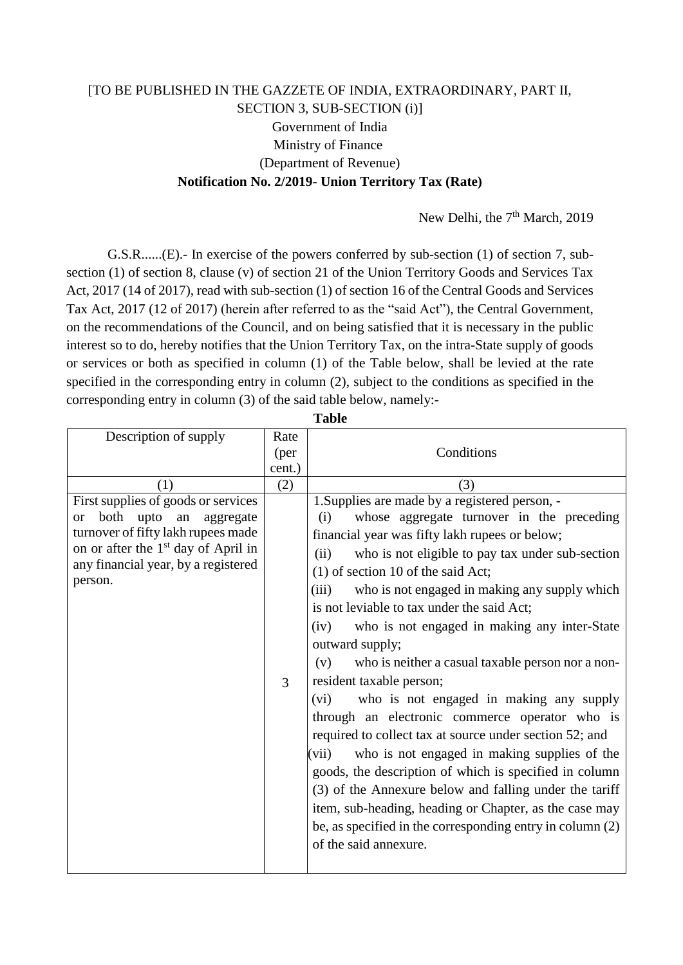## [TO BE PUBLISHED IN THE GAZZETE OF INDIA, EXTRAORDINARY, PART II, SECTION 3, SUB-SECTION (i)] Government of India Ministry of Finance (Department of Revenue) **Notification No. 2/2019**- **Union Territory Tax (Rate)**

New Delhi, the 7<sup>th</sup> March, 2019

G.S.R......(E).- In exercise of the powers conferred by sub-section (1) of section 7, subsection (1) of section 8, clause (v) of section 21 of the Union Territory Goods and Services Tax Act, 2017 (14 of 2017), read with sub-section (1) of section 16 of the Central Goods and Services Tax Act, 2017 (12 of 2017) (herein after referred to as the "said Act"), the Central Government, on the recommendations of the Council, and on being satisfied that it is necessary in the public interest so to do, hereby notifies that the Union Territory Tax, on the intra-State supply of goods or services or both as specified in column (1) of the Table below, shall be levied at the rate specified in the corresponding entry in column (2), subject to the conditions as specified in the corresponding entry in column (3) of the said table below, namely:-

| Description of supply                                                                                                                                                                                                              | Rate   |                                                                                                                                                                                                                                                                                                                                                                                                                                                                                                                                                                                                                                                                                                                                                                                                                                                                                                                                                                                                         |
|------------------------------------------------------------------------------------------------------------------------------------------------------------------------------------------------------------------------------------|--------|---------------------------------------------------------------------------------------------------------------------------------------------------------------------------------------------------------------------------------------------------------------------------------------------------------------------------------------------------------------------------------------------------------------------------------------------------------------------------------------------------------------------------------------------------------------------------------------------------------------------------------------------------------------------------------------------------------------------------------------------------------------------------------------------------------------------------------------------------------------------------------------------------------------------------------------------------------------------------------------------------------|
|                                                                                                                                                                                                                                    | (per   | Conditions                                                                                                                                                                                                                                                                                                                                                                                                                                                                                                                                                                                                                                                                                                                                                                                                                                                                                                                                                                                              |
|                                                                                                                                                                                                                                    | cent.) |                                                                                                                                                                                                                                                                                                                                                                                                                                                                                                                                                                                                                                                                                                                                                                                                                                                                                                                                                                                                         |
| (1)                                                                                                                                                                                                                                | (2)    | (3)                                                                                                                                                                                                                                                                                                                                                                                                                                                                                                                                                                                                                                                                                                                                                                                                                                                                                                                                                                                                     |
| First supplies of goods or services<br>both<br>upto<br>an<br>aggregate<br><sub>or</sub><br>turnover of fifty lakh rupees made<br>on or after the 1 <sup>st</sup> day of April in<br>any financial year, by a registered<br>person. | 3      | 1. Supplies are made by a registered person, -<br>whose aggregate turnover in the preceding<br>(i)<br>financial year was fifty lakh rupees or below;<br>(ii)<br>who is not eligible to pay tax under sub-section<br>$(1)$ of section 10 of the said Act;<br>who is not engaged in making any supply which<br>(iii)<br>is not leviable to tax under the said Act;<br>who is not engaged in making any inter-State<br>(iv)<br>outward supply;<br>who is neither a casual taxable person nor a non-<br>(v)<br>resident taxable person;<br>who is not engaged in making any supply<br>(vi)<br>through an electronic commerce operator who is<br>required to collect tax at source under section 52; and<br>(vii)<br>who is not engaged in making supplies of the<br>goods, the description of which is specified in column<br>(3) of the Annexure below and falling under the tariff<br>item, sub-heading, heading or Chapter, as the case may<br>be, as specified in the corresponding entry in column (2) |
|                                                                                                                                                                                                                                    |        | of the said annexure.                                                                                                                                                                                                                                                                                                                                                                                                                                                                                                                                                                                                                                                                                                                                                                                                                                                                                                                                                                                   |

**Table**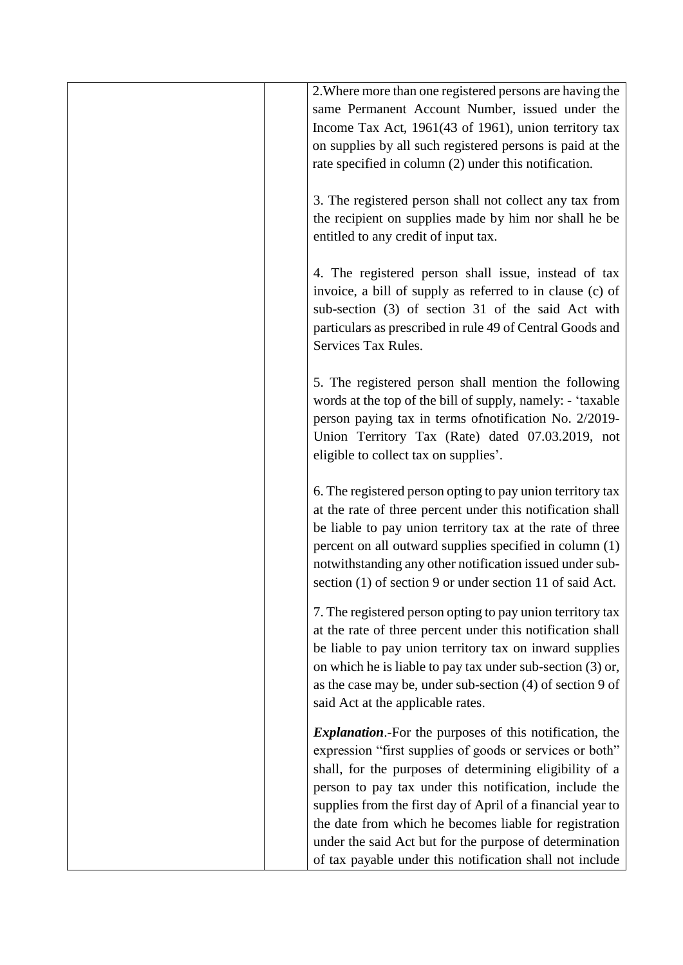| 2. Where more than one registered persons are having the        |
|-----------------------------------------------------------------|
| same Permanent Account Number, issued under the                 |
| Income Tax Act, 1961(43 of 1961), union territory tax           |
| on supplies by all such registered persons is paid at the       |
| rate specified in column (2) under this notification.           |
|                                                                 |
| 3. The registered person shall not collect any tax from         |
| the recipient on supplies made by him nor shall he be           |
|                                                                 |
| entitled to any credit of input tax.                            |
|                                                                 |
| 4. The registered person shall issue, instead of tax            |
| invoice, a bill of supply as referred to in clause (c) of       |
| sub-section (3) of section 31 of the said Act with              |
| particulars as prescribed in rule 49 of Central Goods and       |
| Services Tax Rules.                                             |
|                                                                 |
| 5. The registered person shall mention the following            |
| words at the top of the bill of supply, namely: - 'taxable'     |
| person paying tax in terms of notification No. 2/2019-          |
| Union Territory Tax (Rate) dated 07.03.2019, not                |
| eligible to collect tax on supplies'.                           |
|                                                                 |
| 6. The registered person opting to pay union territory tax      |
| at the rate of three percent under this notification shall      |
|                                                                 |
| be liable to pay union territory tax at the rate of three       |
| percent on all outward supplies specified in column (1)         |
| notwithstanding any other notification issued under sub-        |
| section (1) of section 9 or under section 11 of said Act.       |
| 7. The registered person opting to pay union territory tax      |
| at the rate of three percent under this notification shall      |
|                                                                 |
| be liable to pay union territory tax on inward supplies         |
| on which he is liable to pay tax under sub-section (3) or,      |
| as the case may be, under sub-section (4) of section 9 of       |
| said Act at the applicable rates.                               |
| <i>Explanation</i> . For the purposes of this notification, the |
| expression "first supplies of goods or services or both"        |
|                                                                 |
| shall, for the purposes of determining eligibility of a         |
| person to pay tax under this notification, include the          |
| supplies from the first day of April of a financial year to     |
| the date from which he becomes liable for registration          |
| under the said Act but for the purpose of determination         |
| of tax payable under this notification shall not include        |